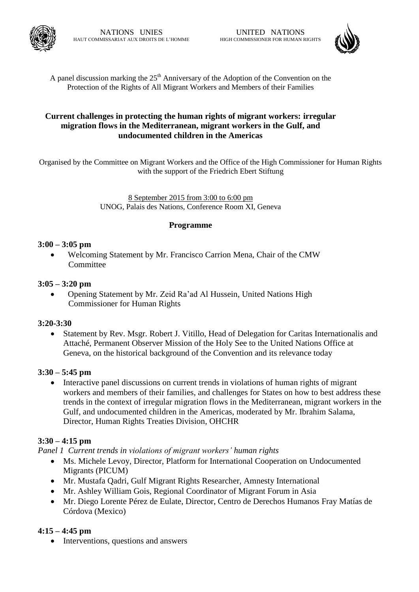

A panel discussion marking the  $25<sup>th</sup>$  Anniversary of the Adoption of the Convention on the Protection of the Rights of All Migrant Workers and Members of their Families

# **Current challenges in protecting the human rights of migrant workers: irregular migration flows in the Mediterranean, migrant workers in the Gulf, and undocumented children in the Americas**

Organised by the Committee on Migrant Workers and the Office of the High Commissioner for Human Rights with the support of the Friedrich Ebert Stiftung

> 8 September 2015 from 3:00 to 6:00 pm UNOG, Palais des Nations, Conference Room XI, Geneva

# **Programme**

# **3:00 – 3:05 pm**

 Welcoming Statement by Mr. Francisco Carrion Mena, Chair of the CMW Committee

#### **3:05 – 3:20 pm**

 Opening Statement by Mr. Zeid Ra'ad Al Hussein, United Nations High Commissioner for Human Rights

#### **3:20-3:30**

 Statement by Rev. Msgr. Robert J. Vitillo, Head of Delegation for Caritas Internationalis and Attaché, Permanent Observer Mission of the Holy See to the United Nations Office at Geneva, on the historical background of the Convention and its relevance today

# **3:30 – 5:45 pm**

 Interactive panel discussions on current trends in violations of human rights of migrant workers and members of their families, and challenges for States on how to best address these trends in the context of irregular migration flows in the Mediterranean, migrant workers in the Gulf, and undocumented children in the Americas, moderated by Mr. Ibrahim Salama, Director, Human Rights Treaties Division, OHCHR

# **3:30 – 4:15 pm**

*Panel 1 Current trends in violations of migrant workers' human rights* 

- Ms. Michele Levoy, Director, Platform for International Cooperation on Undocumented Migrants (PICUM)
- Mr. Mustafa Qadri, Gulf Migrant Rights Researcher, Amnesty International
- Mr. Ashley William Gois, Regional Coordinator of Migrant Forum in Asia
- Mr. Diego Lorente Pérez de Eulate, Director, Centro de Derechos Humanos Fray Matías de Córdova (Mexico)

# **4:15 – 4:45 pm**

• Interventions, questions and answers